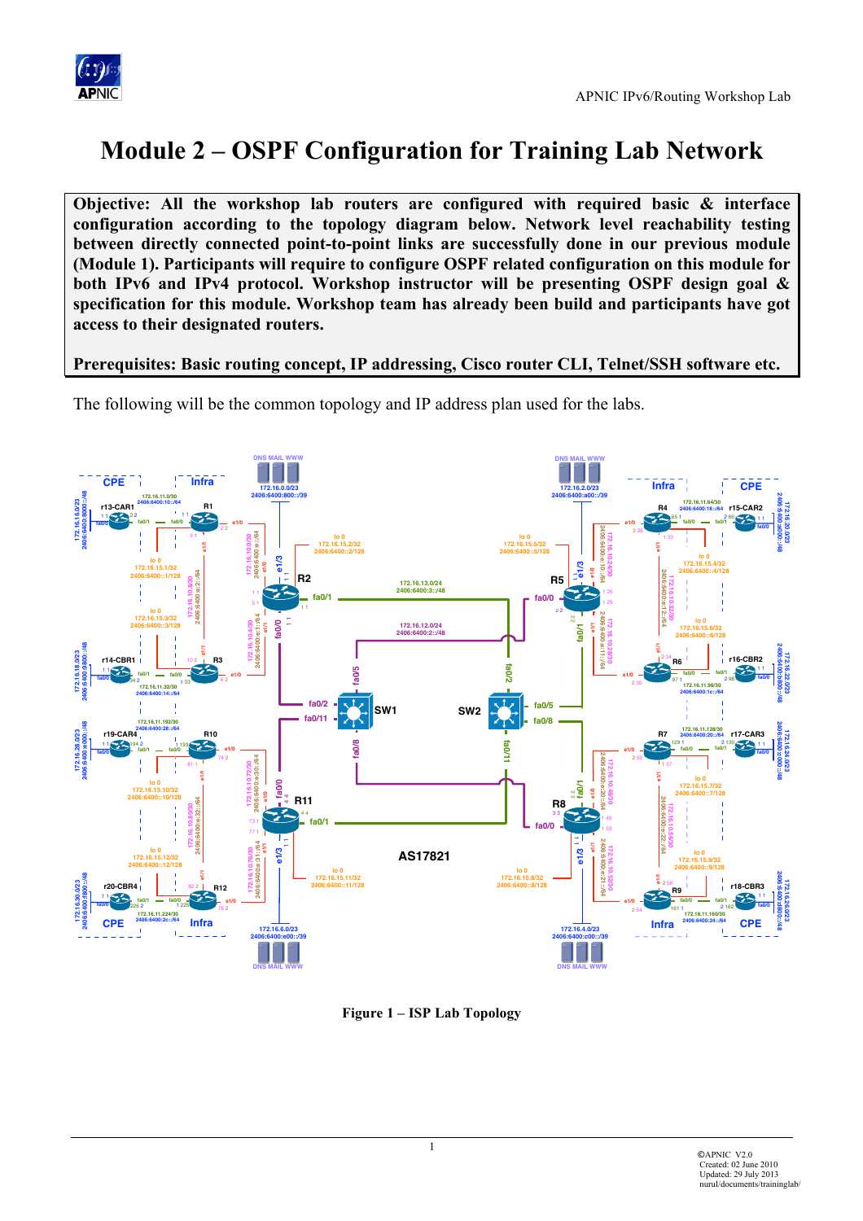

# **Module 2 – OSPF Configuration for Training Lab Network**

**Objective: All the workshop lab routers are configured with required basic & interface configuration according to the topology diagram below. Network level reachability testing between directly connected point-to-point links are successfully done in our previous module (Module 1). Participants will require to configure OSPF related configuration on this module for both IPv6 and IPv4 protocol. Workshop instructor will be presenting OSPF design goal & specification for this module. Workshop team has already been build and participants have got access to their designated routers.** 

#### **Prerequisites: Basic routing concept, IP addressing, Cisco router CLI, Telnet/SSH software etc.**

The following will be the common topology and IP address plan used for the labs.



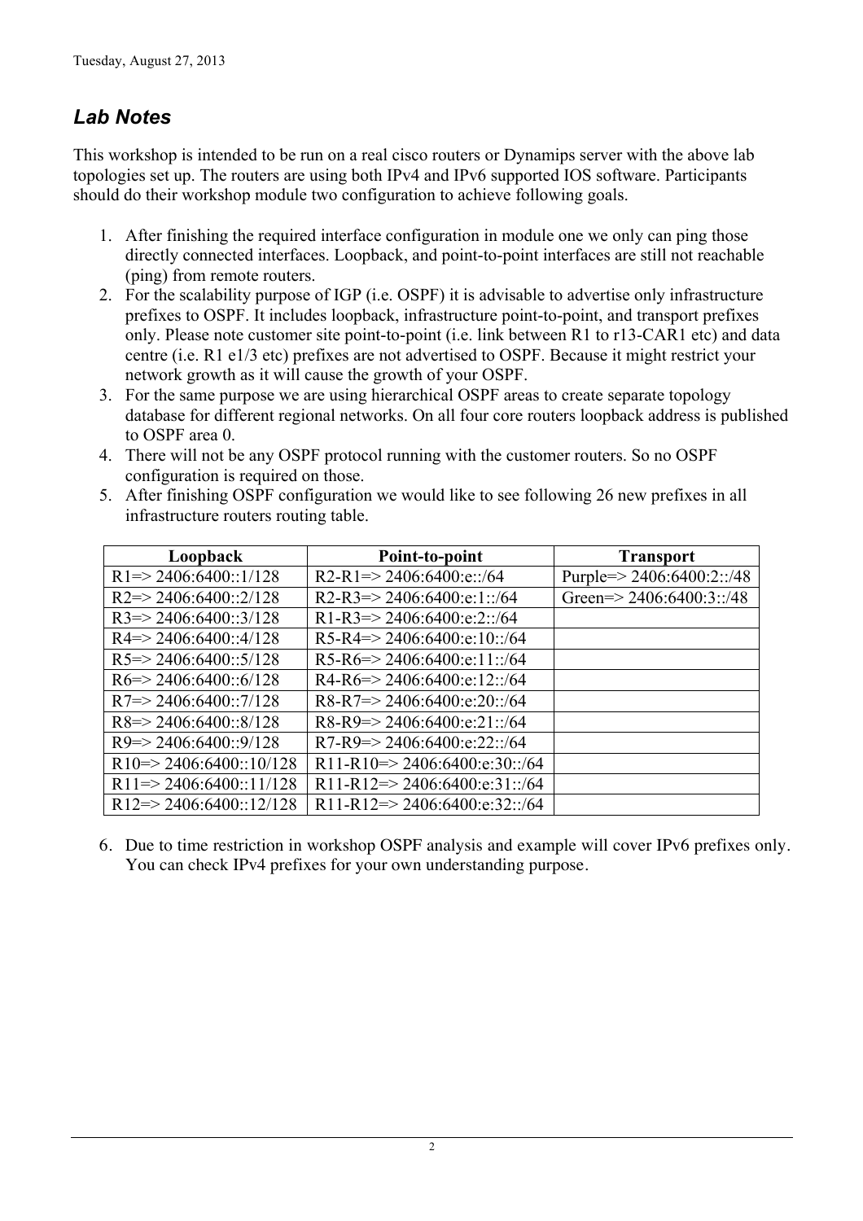# *Lab Notes*

This workshop is intended to be run on a real cisco routers or Dynamips server with the above lab topologies set up. The routers are using both IPv4 and IPv6 supported IOS software. Participants should do their workshop module two configuration to achieve following goals.

- 1. After finishing the required interface configuration in module one we only can ping those directly connected interfaces. Loopback, and point-to-point interfaces are still not reachable (ping) from remote routers.
- 2. For the scalability purpose of IGP (i.e. OSPF) it is advisable to advertise only infrastructure prefixes to OSPF. It includes loopback, infrastructure point-to-point, and transport prefixes only. Please note customer site point-to-point (i.e. link between R1 to r13-CAR1 etc) and data centre (i.e. R1 e1/3 etc) prefixes are not advertised to OSPF. Because it might restrict your network growth as it will cause the growth of your OSPF.
- 3. For the same purpose we are using hierarchical OSPF areas to create separate topology database for different regional networks. On all four core routers loopback address is published to OSPF area 0.
- 4. There will not be any OSPF protocol running with the customer routers. So no OSPF configuration is required on those.

| Loopback                            | Point-to-point                                          | <b>Transport</b>             |
|-------------------------------------|---------------------------------------------------------|------------------------------|
| $R1 = > 2406:6400::1/128$           | R2-R1=>2406:6400:e::/64                                 | Purple= $> 2406:6400:2::/48$ |
| $R2 \Rightarrow 2406:6400::2/128$   | R2-R3=>2406:6400:e:1::/64                               | Green= $> 2406:6400:3$ ::/48 |
| $R3 = > 2406:6400::3/128$           | R1-R3=>2406:6400:e:2::/64                               |                              |
| $R4 = > 2406:6400:4/128$            | R5-R4=>2406:6400:e:10::/64                              |                              |
| $R5 \approx 2406:6400::5/128$       | R5-R6=>2406:6400:e:11::/64                              |                              |
| $R6 = > 2406:6400:6/128$            | $R4-R6 \Rightarrow 2406:6400: e:12::/64$                |                              |
| $R7 = > 2406:6400::7/128$           | $R8-R7 \Rightarrow 2406:6400 \text{e}:20::/64$          |                              |
| $R8 \approx 2406:6400:8/128$        | R8-R9=>2406:6400:e:21::/64                              |                              |
| $R9 = > 2406:6400:9/128$            | $R7-R9 \Rightarrow 2406:6400:e:22::/64$                 |                              |
| $R10 \Rightarrow 2406:6400::10/128$ | R11-R10=>2406:6400:e:30::/64                            |                              |
| $R11 = > 2406:6400::11/128$         | R11-R12=>2406:6400:e:31::/64                            |                              |
| $R12 \Rightarrow 2406:6400::12/128$ | R <sub>11</sub> -R <sub>12</sub> => 2406:6400:e:32::/64 |                              |

5. After finishing OSPF configuration we would like to see following 26 new prefixes in all infrastructure routers routing table.

6. Due to time restriction in workshop OSPF analysis and example will cover IPv6 prefixes only. You can check IPv4 prefixes for your own understanding purpose.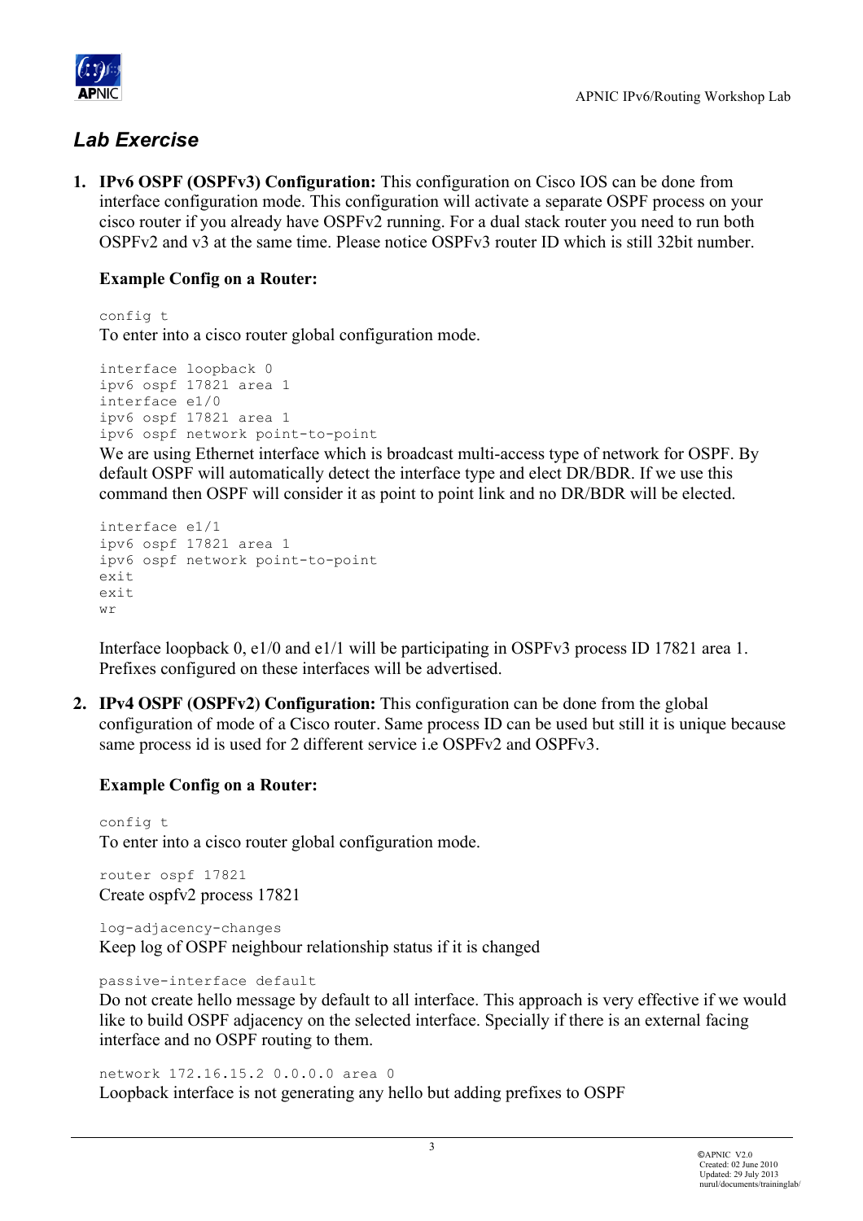

# *Lab Exercise*

**1. IPv6 OSPF (OSPFv3) Configuration:** This configuration on Cisco IOS can be done from interface configuration mode. This configuration will activate a separate OSPF process on your cisco router if you already have OSPFv2 running. For a dual stack router you need to run both OSPFv2 and v3 at the same time. Please notice OSPFv3 router ID which is still 32bit number.

## **Example Config on a Router:**

config t To enter into a cisco router global configuration mode.

interface loopback 0 ipv6 ospf 17821 area 1 interface e1/0 ipv6 ospf 17821 area 1 ipv6 ospf network point-to-point

We are using Ethernet interface which is broadcast multi-access type of network for OSPF. By default OSPF will automatically detect the interface type and elect DR/BDR. If we use this command then OSPF will consider it as point to point link and no DR/BDR will be elected.

```
interface e1/1
ipv6 ospf 17821 area 1
ipv6 ospf network point-to-point
exit
exit
wr
```
Interface loopback 0, e1/0 and e1/1 will be participating in OSPFv3 process ID 17821 area 1. Prefixes configured on these interfaces will be advertised.

**2. IPv4 OSPF (OSPFv2) Configuration:** This configuration can be done from the global configuration of mode of a Cisco router. Same process ID can be used but still it is unique because same process id is used for 2 different service i.e OSPFv2 and OSPFv3.

#### **Example Config on a Router:**

config t To enter into a cisco router global configuration mode.

router ospf 17821 Create ospfv2 process 17821

log-adjacency-changes Keep log of OSPF neighbour relationship status if it is changed

passive-interface default

Do not create hello message by default to all interface. This approach is very effective if we would like to build OSPF adjacency on the selected interface. Specially if there is an external facing interface and no OSPF routing to them.

network 172.16.15.2 0.0.0.0 area 0

Loopback interface is not generating any hello but adding prefixes to OSPF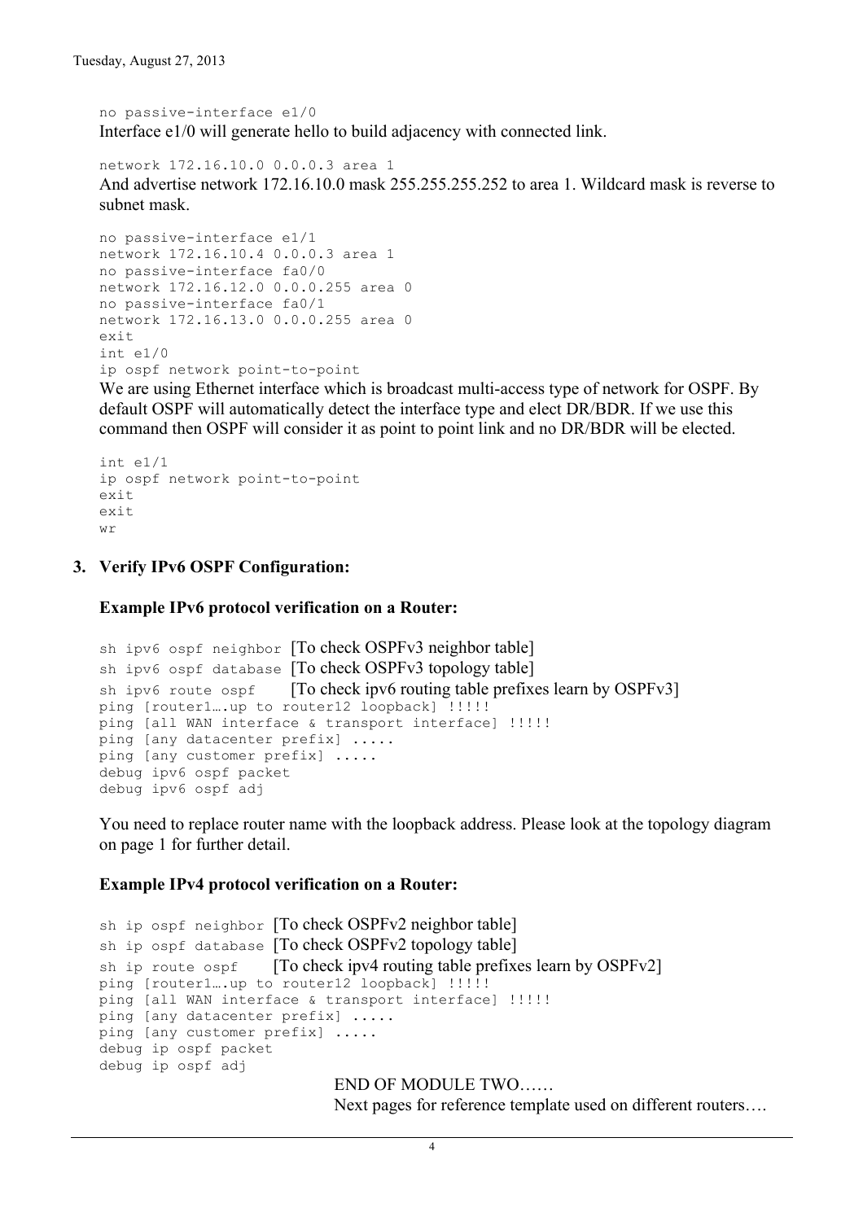no passive-interface e1/0 Interface e1/0 will generate hello to build adjacency with connected link.

network 172.16.10.0 0.0.0.3 area 1 And advertise network 172.16.10.0 mask 255.255.255.252 to area 1. Wildcard mask is reverse to subnet mask.

```
no passive-interface e1/1
network 172.16.10.4 0.0.0.3 area 1
no passive-interface fa0/0
network 172.16.12.0 0.0.0.255 area 0
no passive-interface fa0/1
network 172.16.13.0 0.0.0.255 area 0
exit
int e1/0
ip ospf network point-to-point
```
We are using Ethernet interface which is broadcast multi-access type of network for OSPF. By default OSPF will automatically detect the interface type and elect DR/BDR. If we use this command then OSPF will consider it as point to point link and no DR/BDR will be elected.

```
int e1/1
ip ospf network point-to-point
exit
e x i +
wr
```
#### **3. Verify IPv6 OSPF Configuration:**

**Example IPv6 protocol verification on a Router:**

```
sh ipv6 ospf neighbor [To check OSPFv3 neighbor table]
sh ipv6 ospf database [To check OSPFv3 topology table]
sh ipv6 route ospf [To check ipv6 routing table prefixes learn by OSPFv3]
ping [router1...up to router12 loopback] !!!!!
ping [all WAN interface & transport interface] !!!!!
ping [any datacenter prefix] .....
ping [any customer prefix] .....
debug ipv6 ospf packet
debug ipv6 ospf adj
```
You need to replace router name with the loopback address. Please look at the topology diagram on page 1 for further detail.

#### **Example IPv4 protocol verification on a Router:**

```
sh ip ospf neighbor [To check OSPFv2 neighbor table]
sh ip ospf database [To check OSPFv2 topology table]
sh ip route ospf [To check ipv4 routing table prefixes learn by OSPFv2]
ping [router1….up to router12 loopback] !!!!!
ping [all WAN interface & transport interface] !!!!!
ping [any datacenter prefix] .....
ping [any customer prefix] .....
debug ip ospf packet
debug ip ospf adj
                            END OF MODULE TWO……
```
Next pages for reference template used on different routers….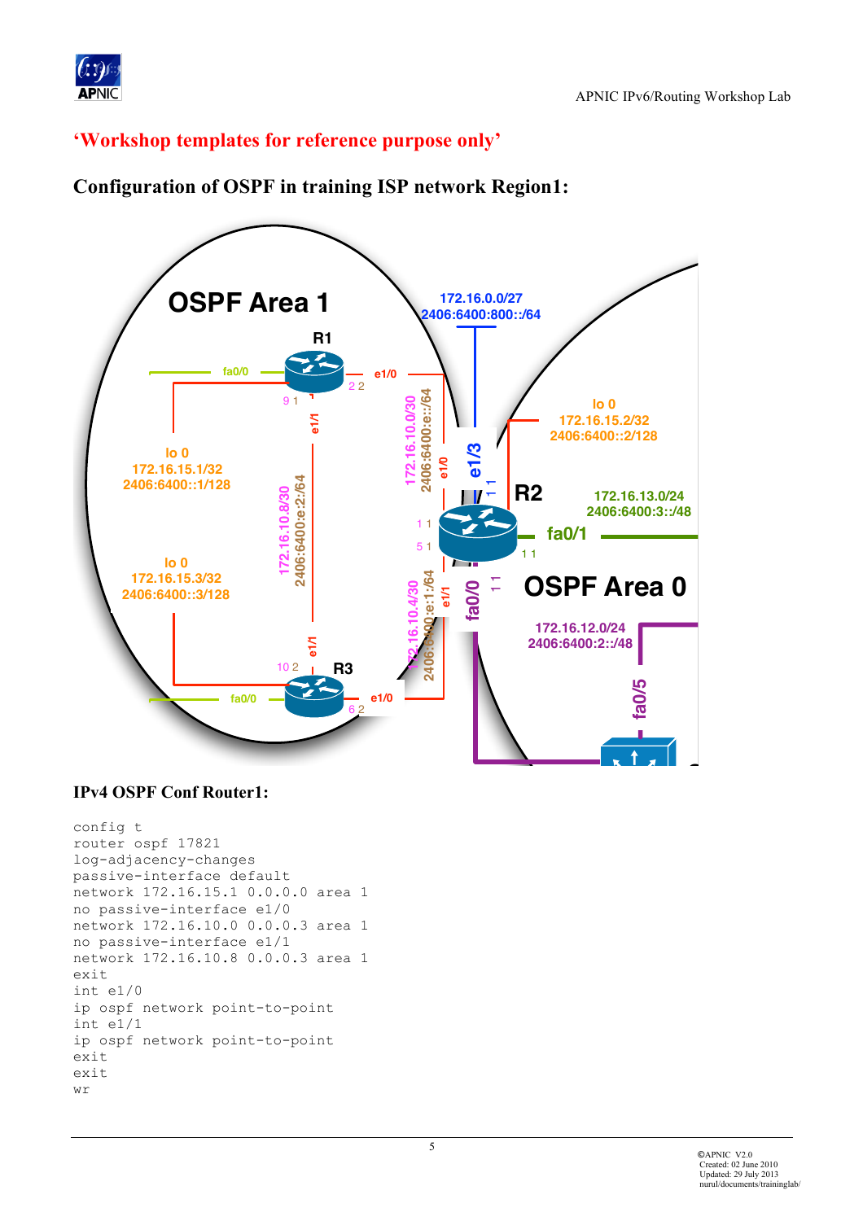

# 'Workshop templates for reference purpose only'



# **Configuration of OSPF in training ISP network Region1:**

#### **IPv4 OSPF Conf Router1:**

```
config t
router ospf 17821
log-adjacency-changes
passive-interface default
network 172.16.15.1 0.0.0.0 area 1
no passive-interface e1/0
network 172.16.10.0 0.0.0.3 area 1
no passive-interface e1/1
network 172.16.10.8 0.0.0.3 area 1
exit
int e1/0ip ospf network point-to-point
int e1/1ip ospf network point-to-point
exit
exit
wr
```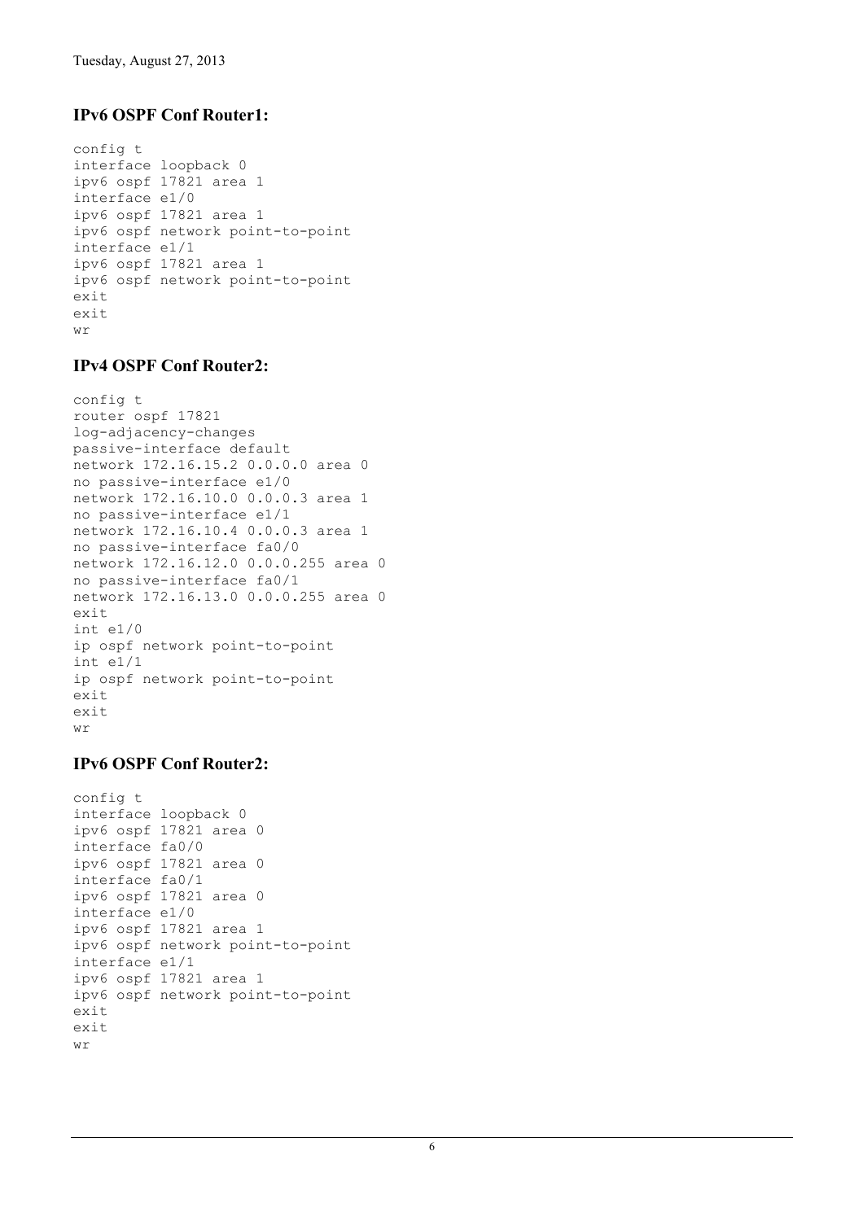## **IPv6 OSPF Conf Router1:**

```
config t
interface loopback 0
ipv6 ospf 17821 area 1
interface e1/0
ipv6 ospf 17821 area 1
ipv6 ospf network point-to-point
interface e1/1
ipv6 ospf 17821 area 1
ipv6 ospf network point-to-point
exit
exit
wr
```
#### **IPv4 OSPF Conf Router2:**

```
config t
router ospf 17821
log-adjacency-changes
passive-interface default
network 172.16.15.2 0.0.0.0 area 0
no passive-interface e1/0
network 172.16.10.0 0.0.0.3 area 1
no passive-interface e1/1
network 172.16.10.4 0.0.0.3 area 1
no passive-interface fa0/0
network 172.16.12.0 0.0.0.255 area 0
no passive-interface fa0/1
network 172.16.13.0 0.0.0.255 area 0
exit
int e1/0
ip ospf network point-to-point
int e1/1
ip ospf network point-to-point
exit
exit
wr
```
#### **IPv6 OSPF Conf Router2:**

```
config t
interface loopback 0
ipv6 ospf 17821 area 0
interface fa0/0
ipv6 ospf 17821 area 0
interface fa0/1
ipv6 ospf 17821 area 0
interface e1/0
ipv6 ospf 17821 area 1
ipv6 ospf network point-to-point
interface e1/1
ipv6 ospf 17821 area 1
ipv6 ospf network point-to-point
exit
exit
wr
```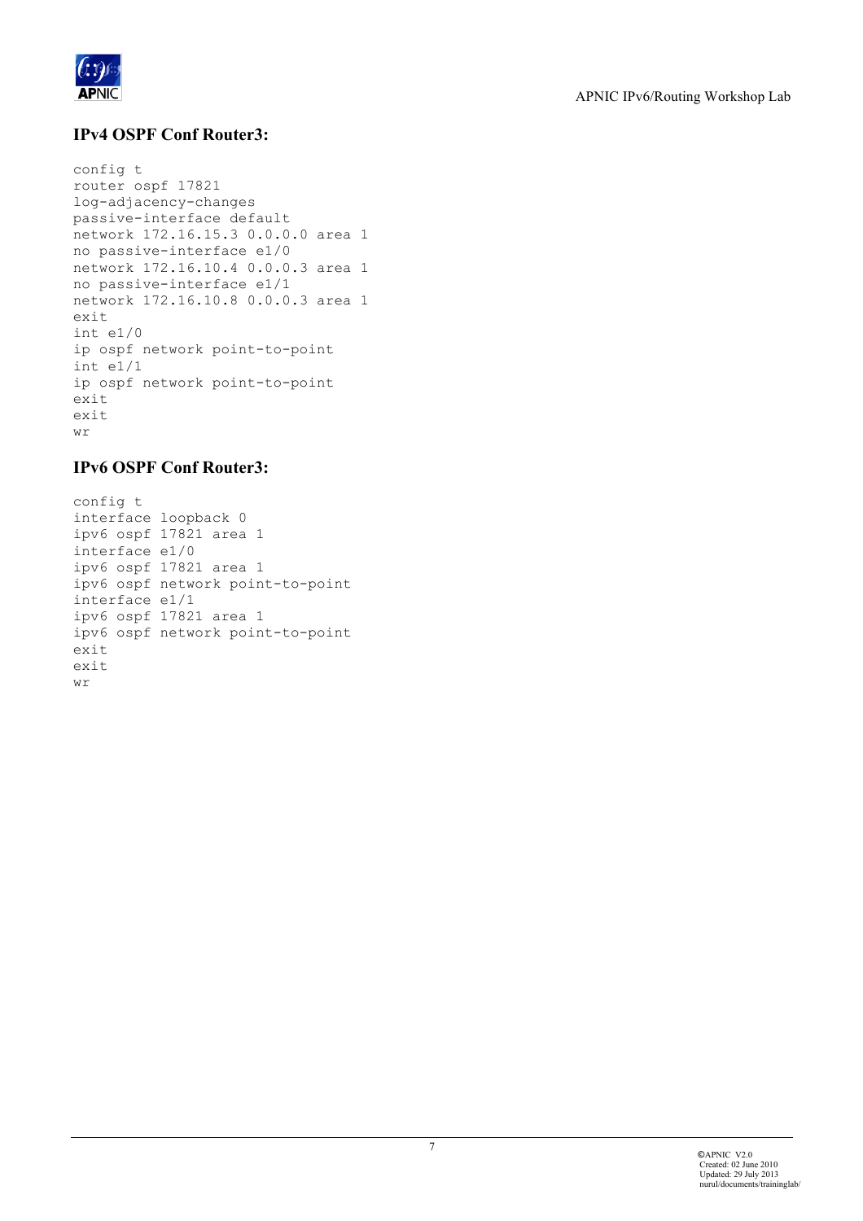

### **IPv4 OSPF Conf Router3:**

```
config t
router ospf 17821
log-adjacency-changes
passive-interface default
network 172.16.15.3 0.0.0.0 area 1
no passive-interface e1/0
network 172.16.10.4 0.0.0.3 area 1
no passive-interface e1/1
network 172.16.10.8 0.0.0.3 area 1
exit
int e1/0
ip ospf network point-to-point
int e1/1
ip ospf network point-to-point
exit
exit
wr
```
## **IPv6 OSPF Conf Router3:**

```
config t
interface loopback 0
ipv6 ospf 17821 area 1
interface e1/0
ipv6 ospf 17821 area 1
ipv6 ospf network point-to-point
interface e1/1
ipv6 ospf 17821 area 1
ipv6 ospf network point-to-point
exit
exit
wr
```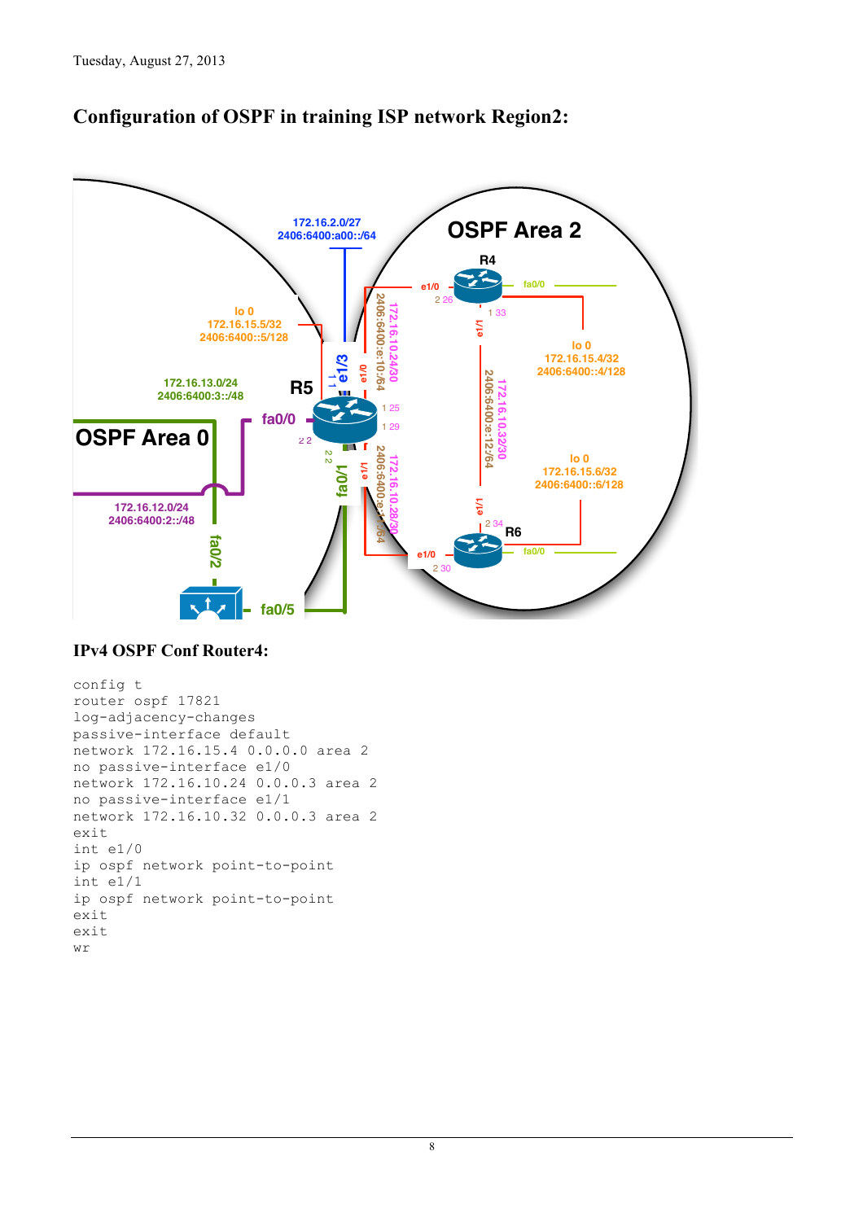

# **Configuration of OSPF in training ISP network Region2:**

#### **IPv4 OSPF Conf Router4:**

```
config t
router ospf 17821
log-adjacency-changes
passive-interface default
network 172.16.15.4 0.0.0.0 area 2
no passive-interface e1/0
network 172.16.10.24 0.0.0.3 area 2
no passive-interface e1/1
network 172.16.10.32 0.0.0.3 area 2
exit
int e1/0ip ospf network point-to-point
int e1/1ip ospf network point-to-point
exit
exit
wr
```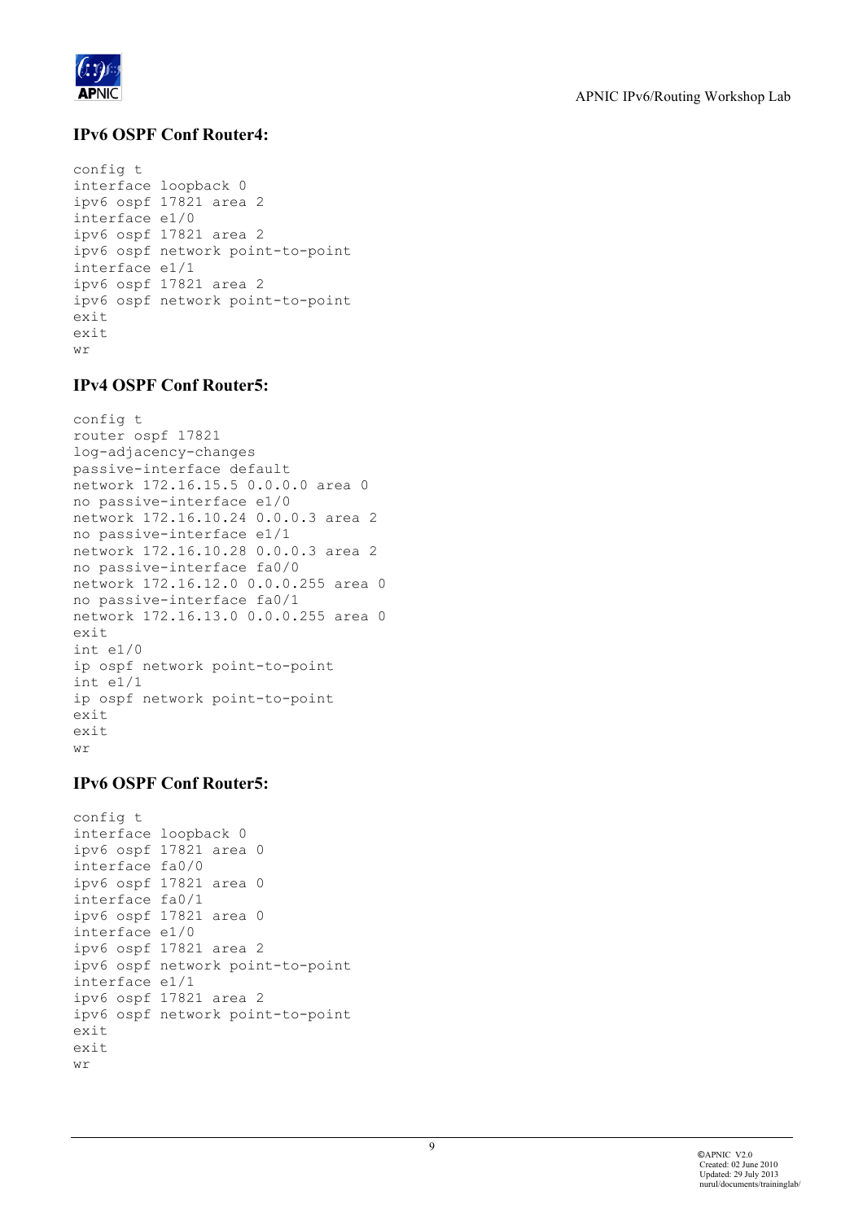

## **IPv6 OSPF Conf Router4:**

```
config t
interface loopback 0
ipv6 ospf 17821 area 2
interface e1/0
ipv6 ospf 17821 area 2
ipv6 ospf network point-to-point
interface e1/1
ipv6 ospf 17821 area 2
ipv6 ospf network point-to-point
exit
exit
wr
```
#### **IPv4 OSPF Conf Router5:**

```
config t
router ospf 17821
log-adjacency-changes
passive-interface default
network 172.16.15.5 0.0.0.0 area 0
no passive-interface e1/0
network 172.16.10.24 0.0.0.3 area 2
no passive-interface e1/1
network 172.16.10.28 0.0.0.3 area 2
no passive-interface fa0/0
network 172.16.12.0 0.0.0.255 area 0
no passive-interface fa0/1
network 172.16.13.0 0.0.0.255 area 0
\leftrightarrowit
int e1/0
ip ospf network point-to-point
int e1/1
ip ospf network point-to-point
exit
exit
wr
```
#### **IPv6 OSPF Conf Router5:**

```
config t
interface loopback 0
ipv6 ospf 17821 area 0
interface fa0/0
ipv6 ospf 17821 area 0
interface fa0/1
ipv6 ospf 17821 area 0
interface e1/0
ipv6 ospf 17821 area 2
ipv6 ospf network point-to-point
interface e1/1
ipv6 ospf 17821 area 2
ipv6 ospf network point-to-point
exit
exit
wr
```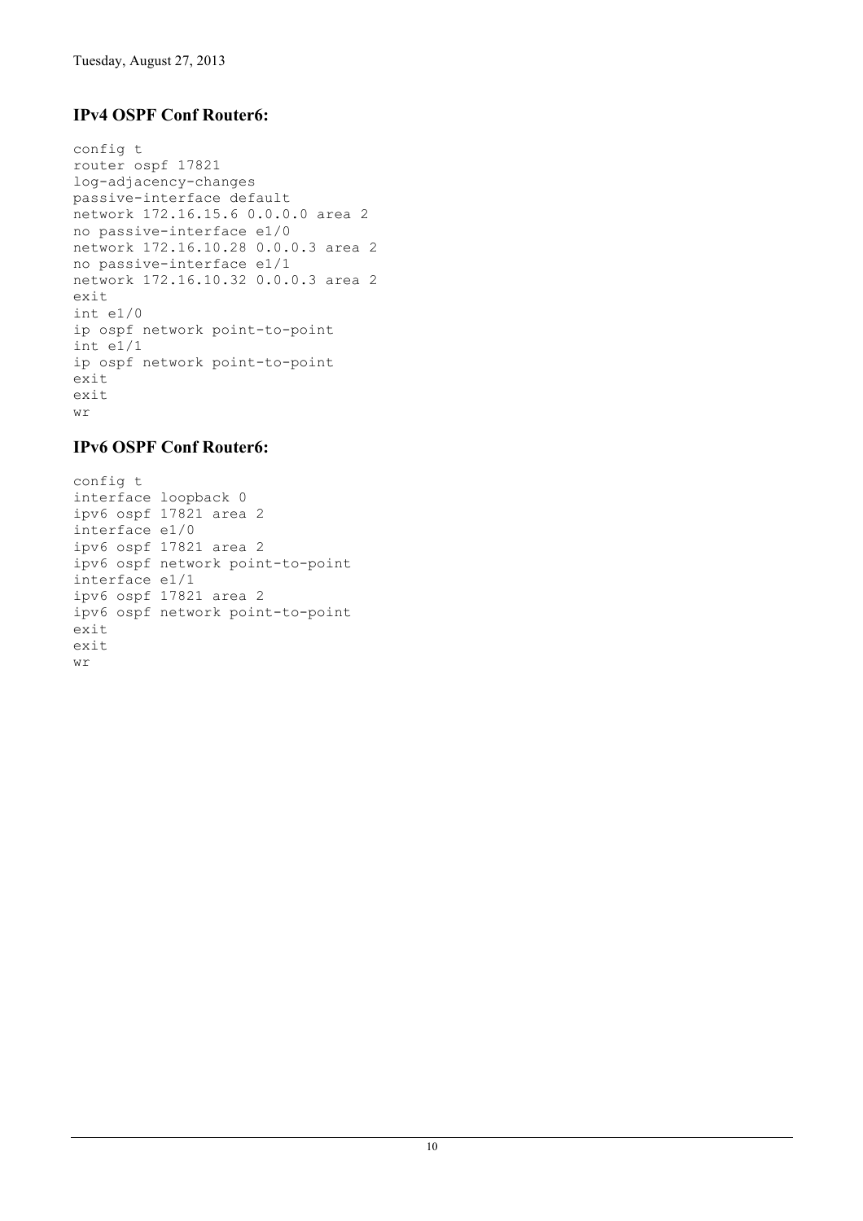## **IPv4 OSPF Conf Router6:**

```
config t
router ospf 17821
log-adjacency-changes
passive-interface default
network 172.16.15.6 0.0.0.0 area 2
no passive-interface e1/0
network 172.16.10.28 0.0.0.3 area 2
no passive-interface e1/1
network 172.16.10.32 0.0.0.3 area 2
exit
int e1/0
ip ospf network point-to-point
int e1/1
ip ospf network point-to-point
exit
exit
wr
```
#### **IPv6 OSPF Conf Router6:**

```
config t
interface loopback 0
ipv6 ospf 17821 area 2
interface e1/0
ipv6 ospf 17821 area 2
ipv6 ospf network point-to-point
interface e1/1
ipv6 ospf 17821 area 2
ipv6 ospf network point-to-point
exit
exit
wr
```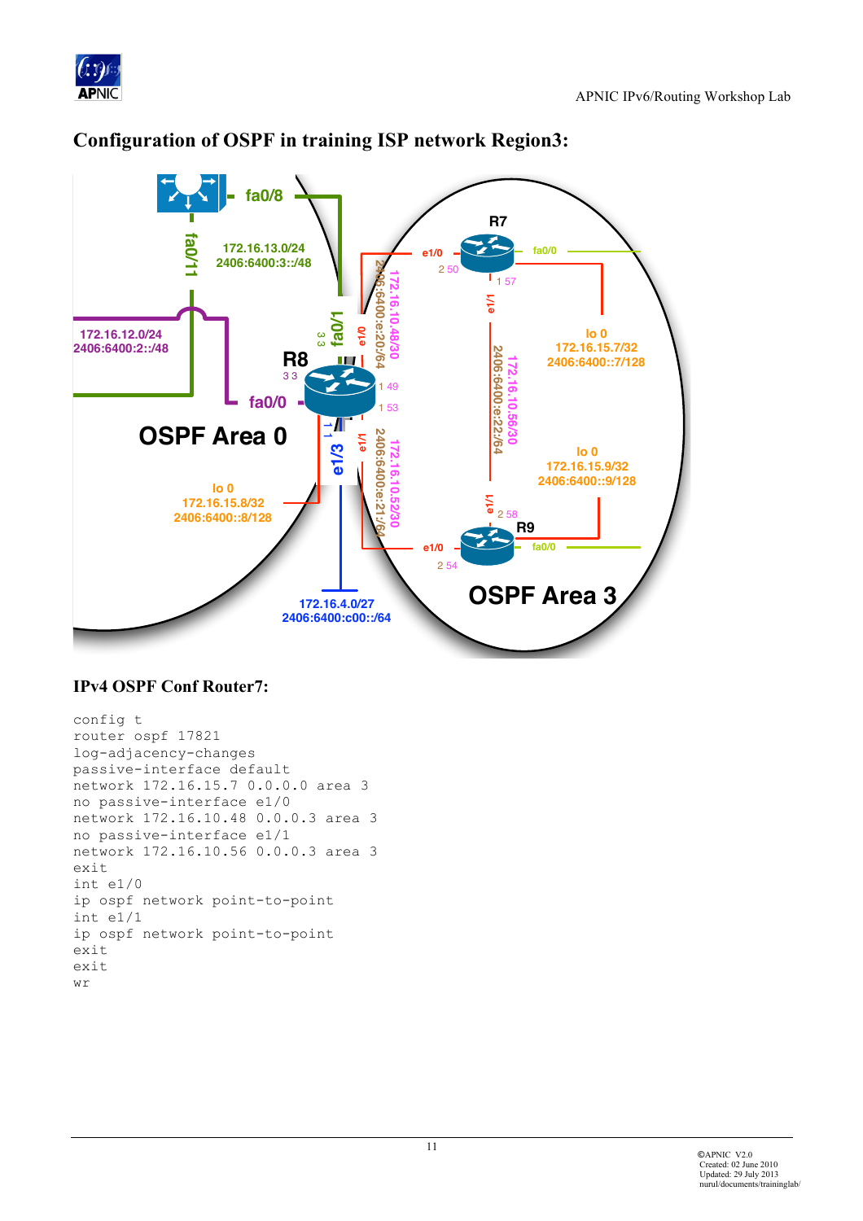



# **Configuration of OSPF in training ISP network Region3:**

#### **IPv4 OSPF Conf Router7:**

```
config t
router ospf 17821
log-adjacency-changes
passive-interface default
network 172.16.15.7 0.0.0.0 area 3
no passive-interface e1/0
network 172.16.10.48 0.0.0.3 area 3
no passive-interface e1/1
network 172.16.10.56 0.0.0.3 area 3
exit
int e1/0ip ospf network point-to-point
int e1/1ip ospf network point-to-point
exit
exit
wr
```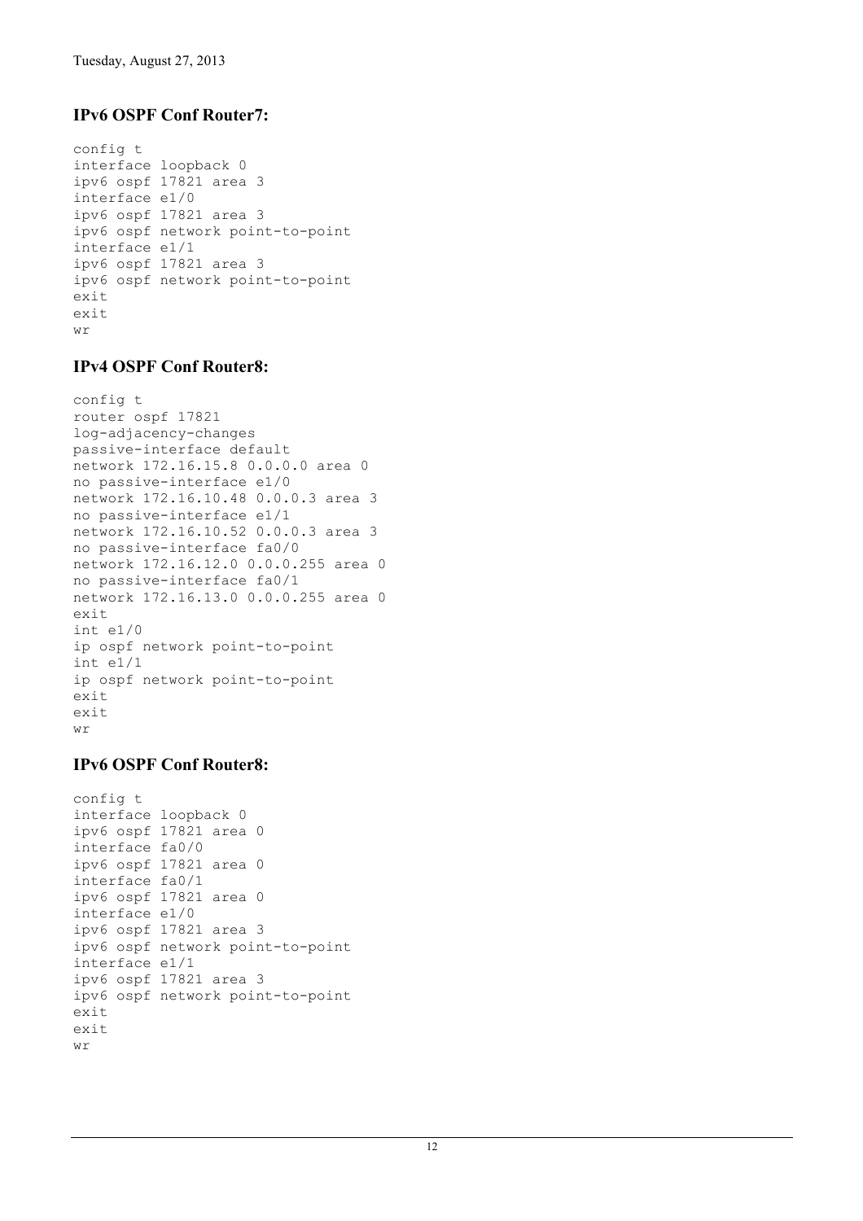## **IPv6 OSPF Conf Router7:**

```
config t
interface loopback 0
ipv6 ospf 17821 area 3
interface e1/0
ipv6 ospf 17821 area 3
ipv6 ospf network point-to-point
interface e1/1
ipv6 ospf 17821 area 3
ipv6 ospf network point-to-point
exit
exit
wr
```
#### **IPv4 OSPF Conf Router8:**

```
config t
router ospf 17821
log-adjacency-changes
passive-interface default
network 172.16.15.8 0.0.0.0 area 0
no passive-interface e1/0
network 172.16.10.48 0.0.0.3 area 3
no passive-interface e1/1
network 172.16.10.52 0.0.0.3 area 3
no passive-interface fa0/0
network 172.16.12.0 0.0.0.255 area 0
no passive-interface fa0/1
network 172.16.13.0 0.0.0.255 area 0
exit
int e1/0
ip ospf network point-to-point
int e1/1
ip ospf network point-to-point
exit
exit
wr
```
#### **IPv6 OSPF Conf Router8:**

```
config t
interface loopback 0
ipv6 ospf 17821 area 0
interface fa0/0
ipv6 ospf 17821 area 0
interface fa0/1
ipv6 ospf 17821 area 0
interface e1/0
ipv6 ospf 17821 area 3
ipv6 ospf network point-to-point
interface e1/1
ipv6 ospf 17821 area 3
ipv6 ospf network point-to-point
exit
exit
wr
```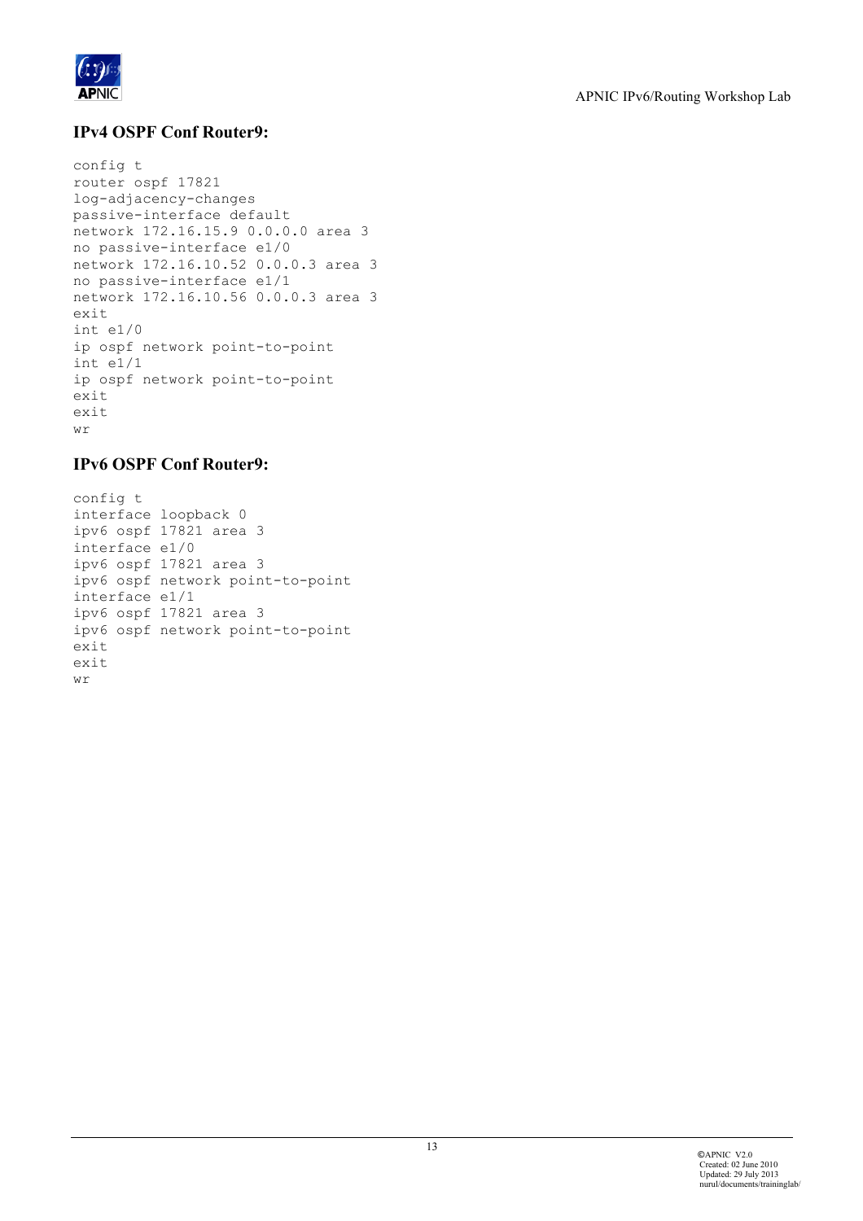

## **IPv4 OSPF Conf Router9:**

```
config t
router ospf 17821
log-adjacency-changes
passive-interface default
network 172.16.15.9 0.0.0.0 area 3
no passive-interface e1/0
network 172.16.10.52 0.0.0.3 area 3
no passive-interface e1/1
network 172.16.10.56 0.0.0.3 area 3
exit
int e1/0
ip ospf network point-to-point
int e1/1
ip ospf network point-to-point
exit
exit
M\gamma
```
#### **IPv6 OSPF Conf Router9:**

```
config t
interface loopback 0
ipv6 ospf 17821 area 3
interface e1/0
ipv6 ospf 17821 area 3
ipv6 ospf network point-to-point
interface e1/1
ipv6 ospf 17821 area 3
ipv6 ospf network point-to-point
exit
exit
wr
```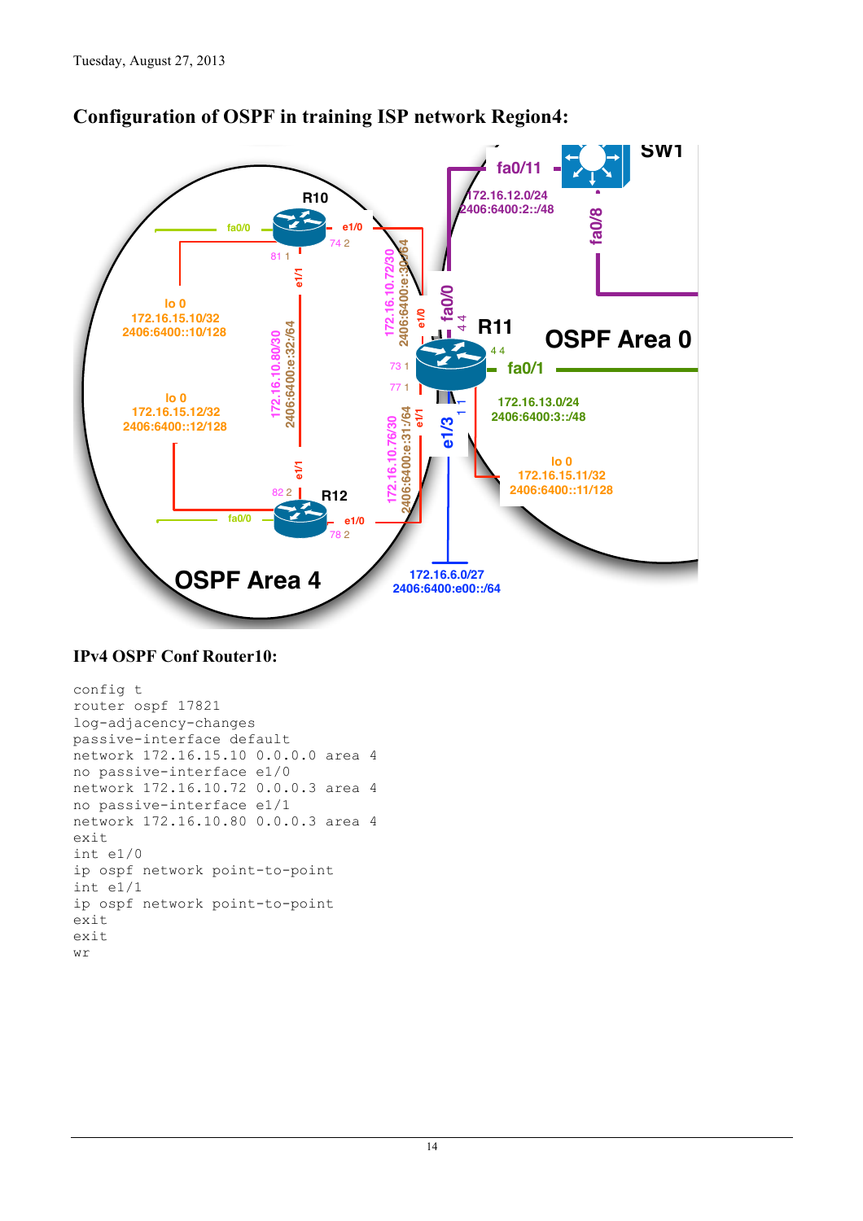

# **Configuration of OSPF in training ISP network Region4:**

#### **IPv4 OSPF Conf Router10:**

```
config t
router ospf 17821
log-adjacency-changes
passive-interface default
network 172.16.15.10 0.0.0.0 area 4
no passive-interface e1/0
network 172.16.10.72 0.0.0.3 area 4
no passive-interface e1/1
network 172.16.10.80 0.0.0.3 area 4
exit
int e1/0ip ospf network point-to-point
int e1/1ip ospf network point-to-point
exit
exit
wr
```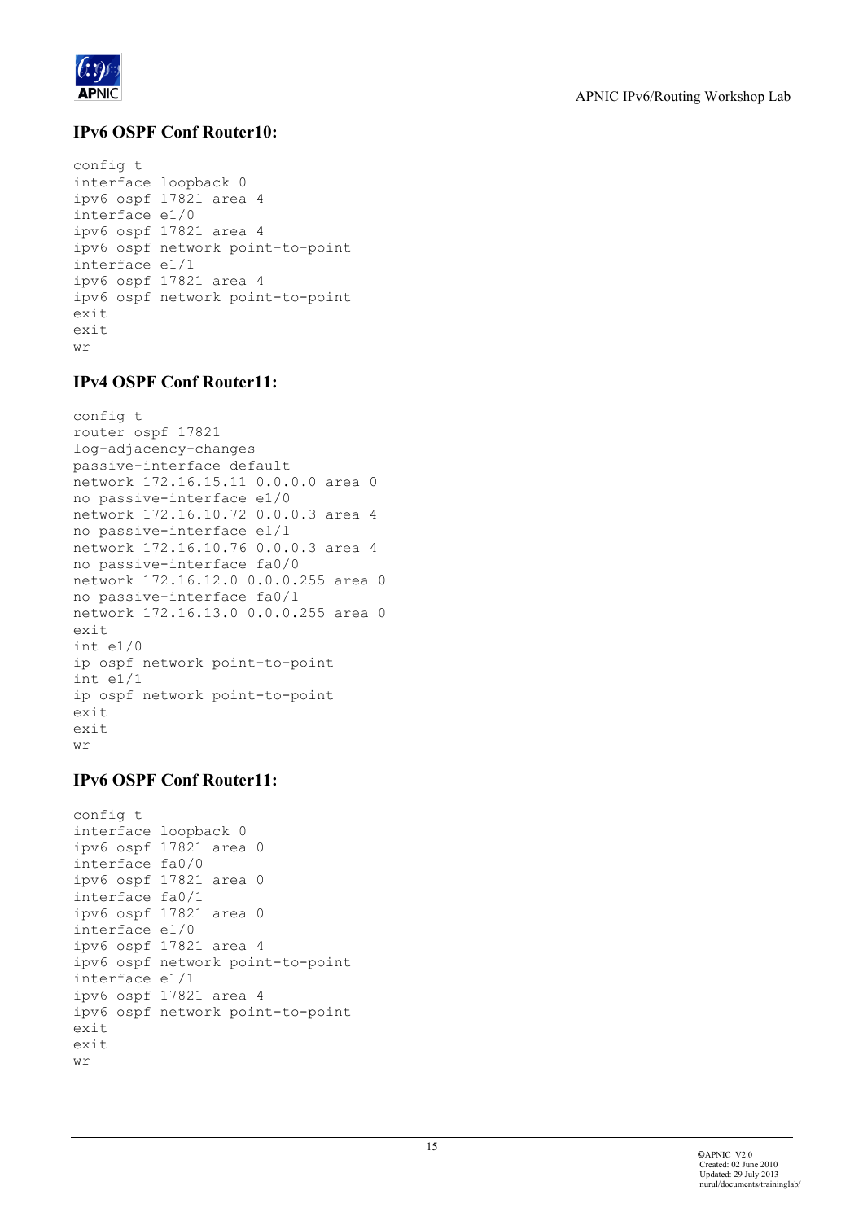

# **IPv6 OSPF Conf Router10:**

```
config t
interface loopback 0
ipv6 ospf 17821 area 4
interface e1/0
ipv6 ospf 17821 area 4
ipv6 ospf network point-to-point
interface e1/1
ipv6 ospf 17821 area 4
ipv6 ospf network point-to-point
exit
exit
wr
```
#### **IPv4 OSPF Conf Router11:**

```
config t
router ospf 17821
log-adjacency-changes
passive-interface default
network 172.16.15.11 0.0.0.0 area 0
no passive-interface e1/0
network 172.16.10.72 0.0.0.3 area 4
no passive-interface e1/1
network 172.16.10.76 0.0.0.3 area 4
no passive-interface fa0/0
network 172.16.12.0 0.0.0.255 area 0
no passive-interface fa0/1
network 172.16.13.0 0.0.0.255 area 0
exit
int e1/0
ip ospf network point-to-point
int e1/1
ip ospf network point-to-point
exit
exit
wr
```
#### **IPv6 OSPF Conf Router11:**

```
config t
interface loopback 0
ipv6 ospf 17821 area 0
interface fa0/0
ipv6 ospf 17821 area 0
interface fa0/1
ipv6 ospf 17821 area 0
interface e1/0
ipv6 ospf 17821 area 4
ipv6 ospf network point-to-point
interface e1/1
ipv6 ospf 17821 area 4
ipv6 ospf network point-to-point
exit
exit
wr
```